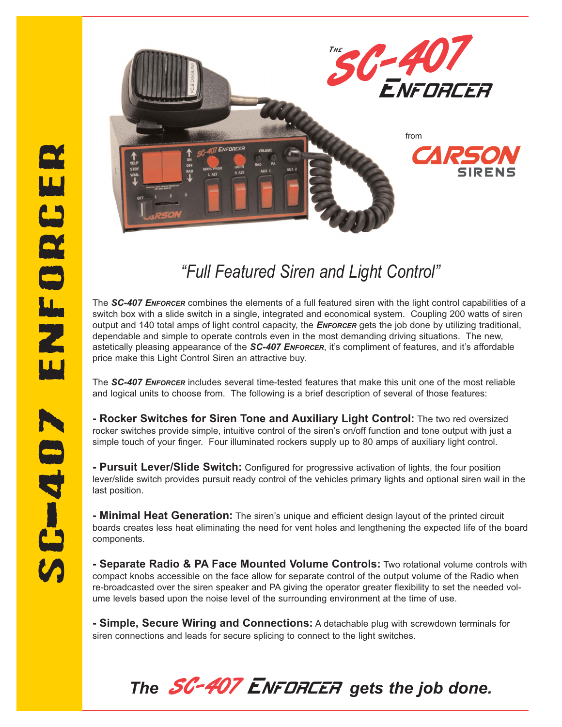

## *"Full Featured Siren and Light Control"*

The *SC-407 ENFORCER* combines the elements of a full featured siren with the light control capabilities of a switch box with a slide switch in a single, integrated and economical system. Coupling 200 watts of siren output and 140 total amps of light control capacity, the *ENFORCER* gets the job done by utilizing traditional, dependable and simple to operate controls even in the most demanding driving situations. The new, astetically pleasing appearance of the *SC-407 ENFORCER*, it's compliment of features, and it's affordable price make this Light Control Siren an attractive buy.

The *SC-407 ENFORCER* includes several time-tested features that make this unit one of the most reliable and logical units to choose from. The following is a brief description of several of those features:

**- Rocker Switches for Siren Tone and Auxiliary Light Control:** The two red oversized rocker switches provide simple, intuitive control of the siren's on/off function and tone output with just a simple touch of your finger. Four illuminated rockers supply up to 80 amps of auxiliary light control.

**- Pursuit Lever/Slide Switch:** Configured for progressive activation of lights, the four position lever/slide switch provides pursuit ready control of the vehicles primary lights and optional siren wail in the last position.

**- Minimal Heat Generation:** The siren's unique and efficient design layout of the printed circuit boards creates less heat eliminating the need for vent holes and lengthening the expected life of the board components.

**- Separate Radio & PA Face Mounted Volume Controls:** Two rotational volume controls with compact knobs accessible on the face allow for separate control of the output volume of the Radio when re-broadcasted over the siren speaker and PA giving the operator greater flexibility to set the needed volume levels based upon the noise level of the surrounding environment at the time of use.

**- Simple, Secure Wiring and Connections:** A detachable plug with screwdown terminals for siren connections and leads for secure splicing to connect to the light switches.